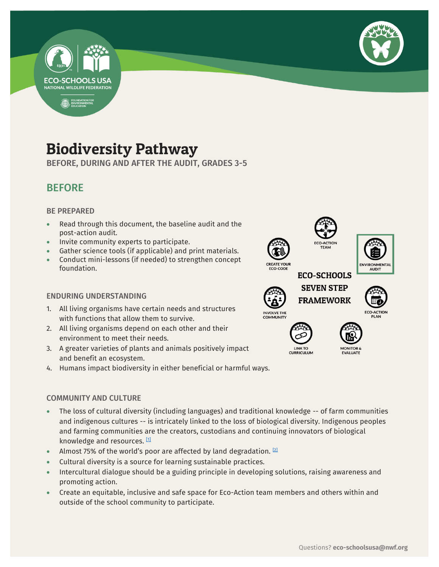



## Biodiversity Pathway

BEFORE, DURING AND AFTER THE AUDIT, GRADES 3-5

-

## BEFORE

#### BE PREPARED

- Read through this document, the baseline audit and the post-action audit.
- Invite community experts to participate.
- Gather science tools (if applicable) and print materials.
- Conduct mini-lessons (if needed) to strengthen concept foundation.

#### ENDURING UNDERSTANDING

- 1. All living organisms have certain needs and structures with functions that allow them to survive.
- 2. All living organisms depend on each other and their environment to meet their needs.
- 3. A greater varieties of plants and animals positively impact and benefit an ecosystem.
- 4. Humans impact biodiversity in either beneficial or harmful ways.

#### COMMUNITY AND CULTURE

- The loss of cultural diversity (including languages) and traditional knowledge -- of farm communities and indigenous cultures -- is intricately linked to the loss of biological diversity. Indigenous peoples and farming communities are the creators, custodians and continuing innovators of biological knowledge and resources. [\[1\]](https://www.etcgroup.org/issues/biodiversity-cultural-diversity)
- Almost 75% of the world's poor are affected by land degradation.  $[2]$
- Cultural diversity is a source for learning sustainable practices.
- Intercultural dialogue should be a guiding principle in developing solutions, raising awareness and promoting action.
- Create an equitable, inclusive and safe space for Eco-Action team members and others within and outside of the school community to participate.

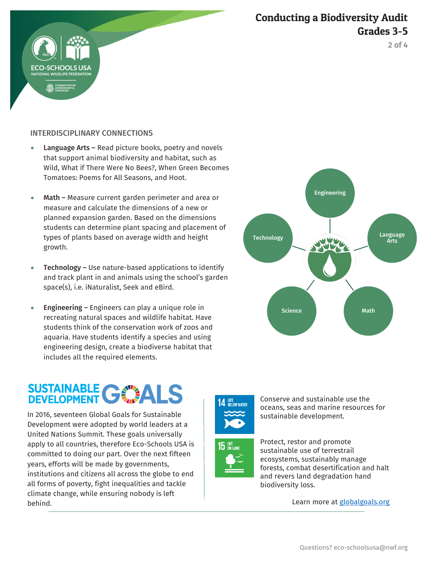## Conducting a Biodiversity Audit Grades 3-5



#### INTERDISCIPLINARY CONNECTIONS

- Language Arts Read picture books, poetry and novels that support animal biodiversity and habitat, such as Wild, What if There Were No Bees?, When Green Becomes Tomatoes: Poems for All Seasons, and Hoot.
- Math Measure current garden perimeter and area or measure and calculate the dimensions of a new or planned expansion garden. Based on the dimensions students can determine plant spacing and placement of types of plants based on average width and height growth.
- **•** Technology Use nature-based applications to identify and track plant in and animals using the school's garden space(s), i.e. iNaturalist, Seek and eBird.
- **Engineering Engineers can play a unique role in** recreating natural spaces and wildlife habitat. Have students think of the conservation work of zoos and aquaria. Have students identify a species and using engineering design, create a biodiverse habitat that includes all the required elements.

# SUSTAINABLE GWALS

In 2016, seventeen Global Goals for Sustainable Development were adopted by world leaders at a United Nations Summit. These goals universally apply to all countries, therefore Eco-Schools USA is committed to doing our part. Over the next fifteen years, efforts will be made by governments, institutions and citizens all across the globe to end all forms of poverty, fight inequalities and tackle climate change, while ensuring nobody is left behind.









Protect, restor and promote sustainable use of terrestrail ecosystems, sustainably manage forests, combat desertification and halt and revers land degradation hand biodiversity loss.

Conserve and sustainable use the

Learn more at [globalgoals.org](https://www.globalgoals.org/)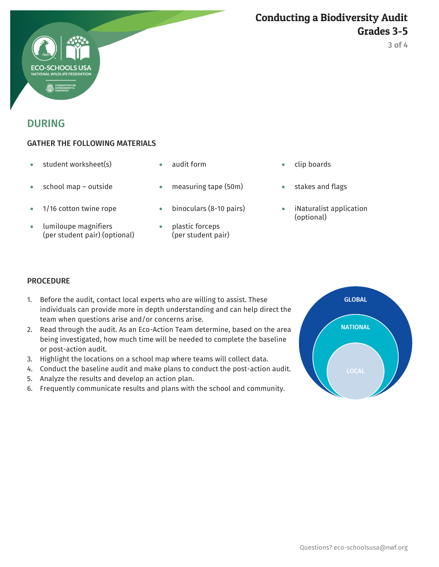

## DURING

#### GATHER THE FOLLOWING MATERIALS

- student worksheet(s) audit form clip boards
- 
- 
- lumiloupe magnifiers (per student pair) (optional)
- 
- school map outside measuring tape (50m) stakes and flags
- 1/16 cotton twine rope binoculars (8-10 pairs) iNaturalist application
	- plastic forceps (per student pair)
- 
- 
- (optional)

#### **PROCEDURE**

- 1. Before the audit, contact local experts who are willing to assist. These individuals can provide more in depth understanding and can help direct the team when questions arise and/or concerns arise.
- 2. Read through the audit. As an Eco-Action Team determine, based on the area being investigated, how much time will be needed to complete the baseline or post-action audit.
- 3. Highlight the locations on a school map where teams will collect data.
- 4. Conduct the baseline audit and make plans to conduct the post-action audit.
- 5. Analyze the results and develop an action plan.
- 6. Frequently communicate results and plans with the school and community.